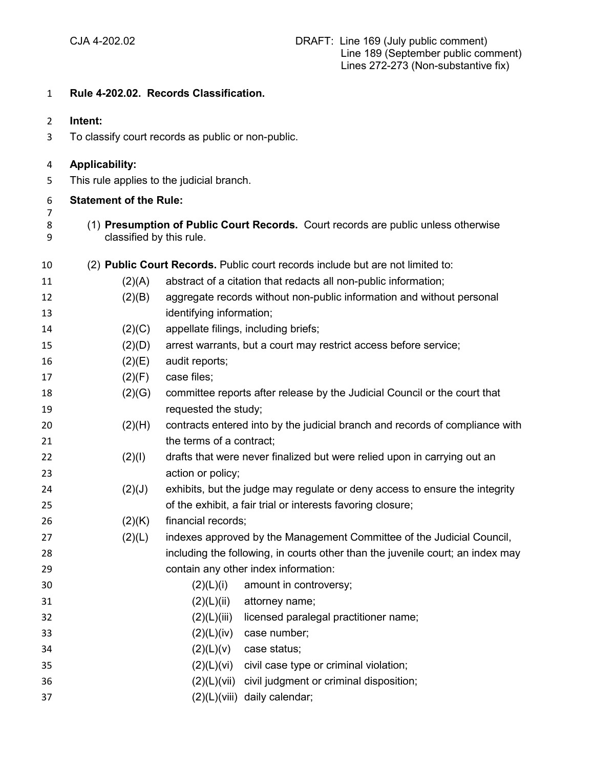## **Rule 4-202.02. Records Classification.**

- **Intent:**
- To classify court records as public or non-public.

## **Applicability:**

This rule applies to the judicial branch.

| -6 | <b>Statement of the Rule:</b> |
|----|-------------------------------|
| -7 |                               |
| 8  | (1) Presumption of            |

 (1) **Presumption of Public Court Records.** Court records are public unless otherwise classified by this rule.

| 10 |        | (2) Public Court Records. Public court records include but are not limited to: |
|----|--------|--------------------------------------------------------------------------------|
| 11 | (2)(A) | abstract of a citation that redacts all non-public information;                |
| 12 | (2)(B) | aggregate records without non-public information and without personal          |
| 13 |        | identifying information;                                                       |
| 14 | (2)(C) | appellate filings, including briefs;                                           |
| 15 | (2)(D) | arrest warrants, but a court may restrict access before service;               |
| 16 | (2)(E) | audit reports;                                                                 |
| 17 | (2)(F) | case files;                                                                    |
| 18 | (2)(G) | committee reports after release by the Judicial Council or the court that      |
| 19 |        | requested the study;                                                           |
| 20 | (2)(H) | contracts entered into by the judicial branch and records of compliance with   |
| 21 |        | the terms of a contract;                                                       |
| 22 | (2)(1) | drafts that were never finalized but were relied upon in carrying out an       |
| 23 |        | action or policy;                                                              |
| 24 | (2)(J) | exhibits, but the judge may regulate or deny access to ensure the integrity    |
| 25 |        | of the exhibit, a fair trial or interests favoring closure;                    |
| 26 | (2)(K) | financial records;                                                             |
| 27 | (2)(L) | indexes approved by the Management Committee of the Judicial Council,          |
| 28 |        | including the following, in courts other than the juvenile court; an index may |
| 29 |        | contain any other index information:                                           |
| 30 |        | (2)(L)(i)<br>amount in controversy;                                            |
| 31 |        | (2)(L)(ii)<br>attorney name;                                                   |
| 32 |        | (2)(L)(iii)<br>licensed paralegal practitioner name;                           |
| 33 |        | (2)(L)(iv)<br>case number;                                                     |
| 34 |        | (2)(L)(v)<br>case status;                                                      |
| 35 |        | (2)(L)(vi)<br>civil case type or criminal violation;                           |
| 36 |        | (2)(L)(Vii)<br>civil judgment or criminal disposition;                         |
| 37 |        | (2)(L)(viii) daily calendar;                                                   |
|    |        |                                                                                |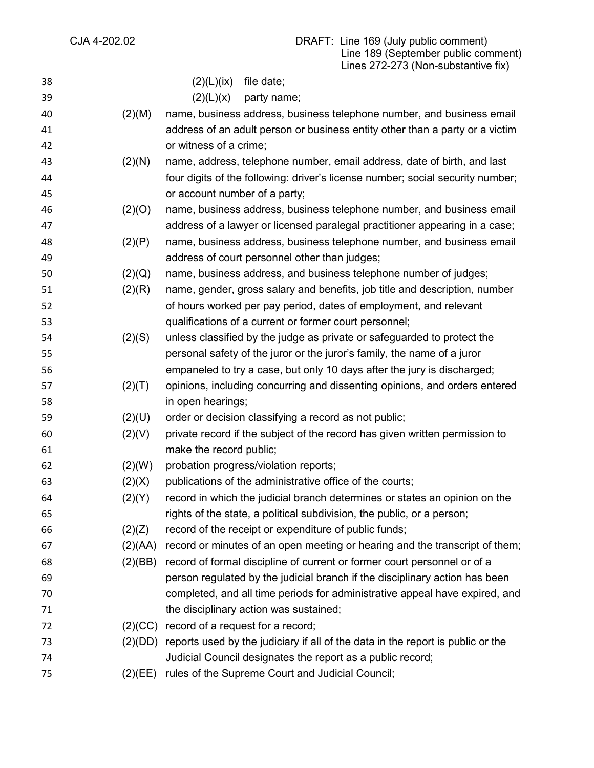| 38 |         | $(2)(L)(ix)$ file date;                                                                 |
|----|---------|-----------------------------------------------------------------------------------------|
| 39 |         | (2)(L)(x)<br>party name;                                                                |
| 40 | (2)(M)  | name, business address, business telephone number, and business email                   |
| 41 |         | address of an adult person or business entity other than a party or a victim            |
| 42 |         | or witness of a crime;                                                                  |
| 43 | (2)(N)  | name, address, telephone number, email address, date of birth, and last                 |
| 44 |         | four digits of the following: driver's license number; social security number;          |
| 45 |         | or account number of a party;                                                           |
| 46 | (2)(O)  | name, business address, business telephone number, and business email                   |
| 47 |         | address of a lawyer or licensed paralegal practitioner appearing in a case;             |
| 48 | (2)(P)  | name, business address, business telephone number, and business email                   |
| 49 |         | address of court personnel other than judges;                                           |
| 50 | (2)(Q)  | name, business address, and business telephone number of judges;                        |
| 51 | (2)(R)  | name, gender, gross salary and benefits, job title and description, number              |
| 52 |         | of hours worked per pay period, dates of employment, and relevant                       |
| 53 |         | qualifications of a current or former court personnel;                                  |
| 54 | (2)(S)  | unless classified by the judge as private or safeguarded to protect the                 |
| 55 |         | personal safety of the juror or the juror's family, the name of a juror                 |
| 56 |         | empaneled to try a case, but only 10 days after the jury is discharged;                 |
| 57 | (2)(T)  | opinions, including concurring and dissenting opinions, and orders entered              |
| 58 |         | in open hearings;                                                                       |
| 59 | (2)(U)  | order or decision classifying a record as not public;                                   |
| 60 | (2)(V)  | private record if the subject of the record has given written permission to             |
| 61 |         | make the record public;                                                                 |
| 62 | (2)(W)  | probation progress/violation reports;                                                   |
| 63 | (2)(X)  | publications of the administrative office of the courts;                                |
| 64 | (2)(Y)  | record in which the judicial branch determines or states an opinion on the              |
| 65 |         | rights of the state, a political subdivision, the public, or a person;                  |
| 66 | (2)(Z)  | record of the receipt or expenditure of public funds;                                   |
| 67 | (2)(AA) | record or minutes of an open meeting or hearing and the transcript of them;             |
| 68 | (2)(BB) | record of formal discipline of current or former court personnel or of a                |
| 69 |         | person regulated by the judicial branch if the disciplinary action has been             |
| 70 |         | completed, and all time periods for administrative appeal have expired, and             |
| 71 |         | the disciplinary action was sustained;                                                  |
| 72 | (2)(CC) | record of a request for a record;                                                       |
| 73 |         | (2)(DD) reports used by the judiciary if all of the data in the report is public or the |
| 74 |         | Judicial Council designates the report as a public record;                              |
| 75 | (2)(EE) | rules of the Supreme Court and Judicial Council;                                        |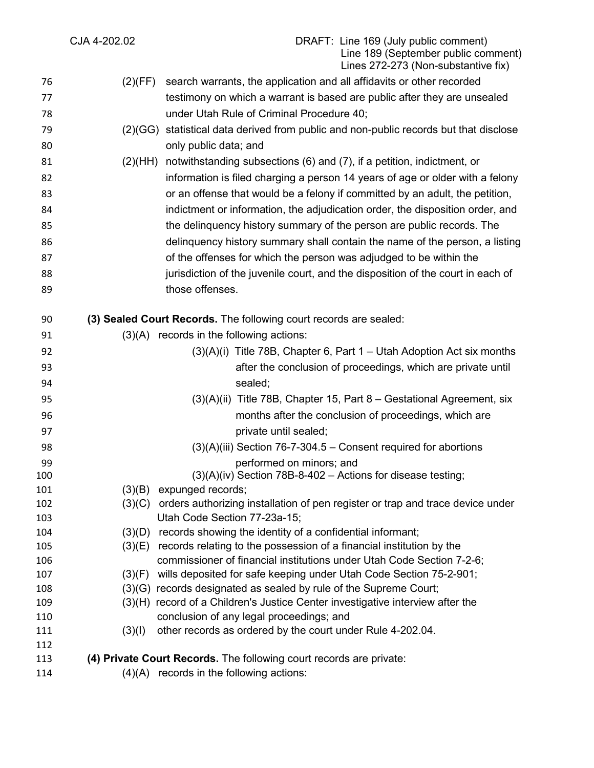|            | CJA 4-202.02 | DRAFT: Line 169 (July public comment)<br>Line 189 (September public comment)<br>Lines 272-273 (Non-substantive fix)                                  |
|------------|--------------|------------------------------------------------------------------------------------------------------------------------------------------------------|
| 76         | (2)(FF)      | search warrants, the application and all affidavits or other recorded                                                                                |
| 77         |              | testimony on which a warrant is based are public after they are unsealed                                                                             |
| 78         |              | under Utah Rule of Criminal Procedure 40;                                                                                                            |
| 79         | (2)(GG)      | statistical data derived from public and non-public records but that disclose                                                                        |
| 80         |              | only public data; and                                                                                                                                |
| 81         | (2)(HH)      | notwithstanding subsections (6) and (7), if a petition, indictment, or                                                                               |
| 82         |              | information is filed charging a person 14 years of age or older with a felony                                                                        |
| 83         |              | or an offense that would be a felony if committed by an adult, the petition,                                                                         |
| 84         |              | indictment or information, the adjudication order, the disposition order, and                                                                        |
| 85         |              | the delinguency history summary of the person are public records. The                                                                                |
| 86         |              | delinquency history summary shall contain the name of the person, a listing                                                                          |
| 87         |              | of the offenses for which the person was adjudged to be within the                                                                                   |
| 88         |              | jurisdiction of the juvenile court, and the disposition of the court in each of                                                                      |
| 89         |              | those offenses.                                                                                                                                      |
|            |              |                                                                                                                                                      |
| 90         |              | (3) Sealed Court Records. The following court records are sealed:                                                                                    |
| 91         |              | $(3)(A)$ records in the following actions:                                                                                                           |
| 92         |              | $(3)(A)(i)$ Title 78B, Chapter 6, Part 1 – Utah Adoption Act six months                                                                              |
| 93         |              | after the conclusion of proceedings, which are private until                                                                                         |
| 94         |              | sealed;                                                                                                                                              |
| 95         |              | $(3)(A)(ii)$ Title 78B, Chapter 15, Part 8 – Gestational Agreement, six                                                                              |
| 96         |              | months after the conclusion of proceedings, which are                                                                                                |
| 97         |              | private until sealed;                                                                                                                                |
| 98         |              | $(3)(A)(iii)$ Section 76-7-304.5 – Consent required for abortions                                                                                    |
| 99         |              | performed on minors; and                                                                                                                             |
| 100        |              | $(3)(A)(iv)$ Section 78B-8-402 – Actions for disease testing;                                                                                        |
| 101        | (3)(B)       | expunged records;                                                                                                                                    |
| 102        | (3)(C)       | orders authorizing installation of pen register or trap and trace device under                                                                       |
| 103        |              | Utah Code Section 77-23a-15;                                                                                                                         |
| 104        | (3)(D)       | records showing the identity of a confidential informant;                                                                                            |
| 105<br>106 |              | (3)(E) records relating to the possession of a financial institution by the<br>commissioner of financial institutions under Utah Code Section 7-2-6; |
| 107        | (3)(F)       | wills deposited for safe keeping under Utah Code Section 75-2-901;                                                                                   |
| 108        |              | (3)(G) records designated as sealed by rule of the Supreme Court;                                                                                    |
| 109        |              | (3)(H) record of a Children's Justice Center investigative interview after the                                                                       |
| 110        |              | conclusion of any legal proceedings; and                                                                                                             |
| 111        | (3)(1)       | other records as ordered by the court under Rule 4-202.04.                                                                                           |
| 112        |              |                                                                                                                                                      |
| 113        |              | (4) Private Court Records. The following court records are private:                                                                                  |
| 114        |              | $(4)(A)$ records in the following actions:                                                                                                           |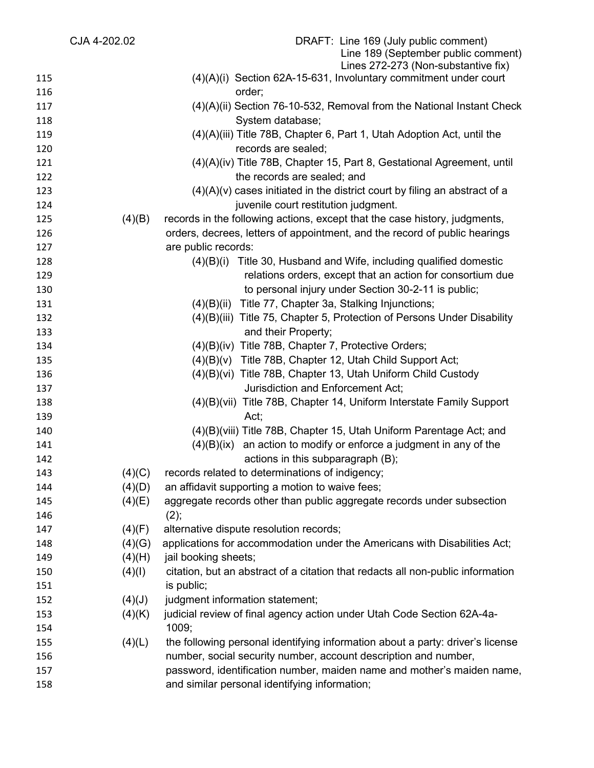| CJA 4-202.02 |        | DRAFT: Line 169 (July public comment)<br>Line 189 (September public comment)    |
|--------------|--------|---------------------------------------------------------------------------------|
|              |        | Lines 272-273 (Non-substantive fix)                                             |
| 115          |        | $(4)(A)(i)$ Section 62A-15-631, Involuntary commitment under court              |
| 116          |        | order;                                                                          |
| 117          |        | $(4)(A)(ii)$ Section 76-10-532, Removal from the National Instant Check         |
| 118          |        | System database;                                                                |
| 119          |        | (4)(A)(iii) Title 78B, Chapter 6, Part 1, Utah Adoption Act, until the          |
| 120          |        | records are sealed;                                                             |
| 121          |        | (4)(A)(iv) Title 78B, Chapter 15, Part 8, Gestational Agreement, until          |
| 122          |        | the records are sealed; and                                                     |
| 123          |        | $(4)(A)(v)$ cases initiated in the district court by filing an abstract of a    |
| 124          |        | juvenile court restitution judgment.                                            |
| 125          | (4)(B) | records in the following actions, except that the case history, judgments,      |
| 126          |        | orders, decrees, letters of appointment, and the record of public hearings      |
| 127          |        | are public records:                                                             |
| 128          |        | Title 30, Husband and Wife, including qualified domestic<br>(4)(B)(i)           |
| 129          |        | relations orders, except that an action for consortium due                      |
| 130          |        | to personal injury under Section 30-2-11 is public;                             |
| 131          |        | (4)(B)(ii) Title 77, Chapter 3a, Stalking Injunctions;                          |
| 132          |        | (4)(B)(iii) Title 75, Chapter 5, Protection of Persons Under Disability         |
| 133          |        | and their Property;                                                             |
| 134          |        | (4)(B)(iv) Title 78B, Chapter 7, Protective Orders;                             |
| 135          |        | (4)(B)(v) Title 78B, Chapter 12, Utah Child Support Act;                        |
| 136          |        | (4)(B)(vi) Title 78B, Chapter 13, Utah Uniform Child Custody                    |
| 137          |        | Jurisdiction and Enforcement Act;                                               |
| 138          |        | (4)(B)(vii) Title 78B, Chapter 14, Uniform Interstate Family Support            |
| 139          |        | Act;                                                                            |
| 140          |        | (4)(B)(viii) Title 78B, Chapter 15, Utah Uniform Parentage Act; and             |
| 141          |        | an action to modify or enforce a judgment in any of the<br>(4)(B)(ix)           |
| 142          |        | actions in this subparagraph (B);                                               |
| 143          | (4)(C) | records related to determinations of indigency;                                 |
| 144          | (4)(D) | an affidavit supporting a motion to waive fees;                                 |
| 145          | (4)(E) | aggregate records other than public aggregate records under subsection          |
| 146          |        | $(2)$ ;                                                                         |
| 147          | (4)(F) | alternative dispute resolution records;                                         |
| 148          | (4)(G) | applications for accommodation under the Americans with Disabilities Act;       |
| 149          | (4)(H) | jail booking sheets;                                                            |
| 150          | (4)(1) | citation, but an abstract of a citation that redacts all non-public information |
| 151          |        | is public;                                                                      |
| 152          | (4)(J) | judgment information statement;                                                 |
| 153          | (4)(K) | judicial review of final agency action under Utah Code Section 62A-4a-          |
| 154          |        | 1009;                                                                           |
| 155          | (4)(L) | the following personal identifying information about a party: driver's license  |
| 156          |        | number, social security number, account description and number,                 |
| 157          |        | password, identification number, maiden name and mother's maiden name,          |
| 158          |        | and similar personal identifying information;                                   |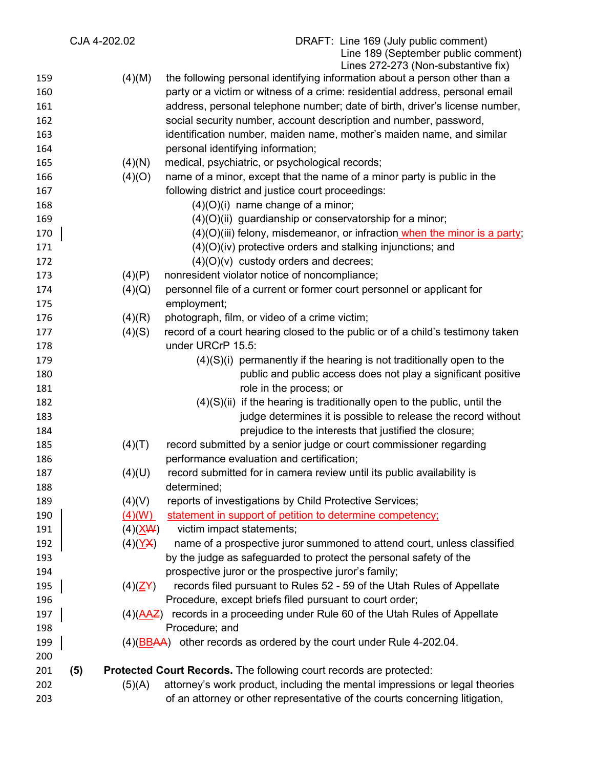|     | CJA 4-202.02 |                                   | DRAFT: Line 169 (July public comment)                                          |
|-----|--------------|-----------------------------------|--------------------------------------------------------------------------------|
|     |              |                                   | Line 189 (September public comment)                                            |
|     |              |                                   | Lines 272-273 (Non-substantive fix)                                            |
| 159 |              | (4)(M)                            | the following personal identifying information about a person other than a     |
| 160 |              |                                   | party or a victim or witness of a crime: residential address, personal email   |
| 161 |              |                                   | address, personal telephone number; date of birth, driver's license number,    |
| 162 |              |                                   | social security number, account description and number, password,              |
| 163 |              |                                   | identification number, maiden name, mother's maiden name, and similar          |
| 164 |              |                                   | personal identifying information;                                              |
| 165 |              | (4)(N)                            | medical, psychiatric, or psychological records;                                |
| 166 |              | (4)(O)                            | name of a minor, except that the name of a minor party is public in the        |
| 167 |              |                                   | following district and justice court proceedings:                              |
| 168 |              |                                   | $(4)(O)(i)$ name change of a minor;                                            |
| 169 |              |                                   | $(4)(O)(ii)$ guardianship or conservatorship for a minor;                      |
| 170 |              |                                   | $(4)(O)(iii)$ felony, misdemeanor, or infraction when the minor is a party;    |
|     |              |                                   |                                                                                |
| 171 |              |                                   | (4)(O)(iv) protective orders and stalking injunctions; and                     |
| 172 |              |                                   | $(4)(O)(v)$ custody orders and decrees;                                        |
| 173 |              | (4)(P)                            | nonresident violator notice of noncompliance;                                  |
| 174 |              | (4)(Q)                            | personnel file of a current or former court personnel or applicant for         |
| 175 |              |                                   | employment;                                                                    |
| 176 |              | (4)(R)                            | photograph, film, or video of a crime victim;                                  |
| 177 |              | (4)(S)                            | record of a court hearing closed to the public or of a child's testimony taken |
| 178 |              |                                   | under URCrP 15.5:                                                              |
| 179 |              |                                   | $(4)(S)(i)$ permanently if the hearing is not traditionally open to the        |
| 180 |              |                                   | public and public access does not play a significant positive                  |
| 181 |              |                                   | role in the process; or                                                        |
| 182 |              |                                   | $(4)(S)(ii)$ if the hearing is traditionally open to the public, until the     |
| 183 |              |                                   | judge determines it is possible to release the record without                  |
| 184 |              |                                   | prejudice to the interests that justified the closure;                         |
| 185 |              | (4)(T)                            | record submitted by a senior judge or court commissioner regarding             |
| 186 |              |                                   | performance evaluation and certification;                                      |
| 187 |              |                                   | record submitted for in camera review until its public availability is         |
|     |              | (4)(U)                            |                                                                                |
| 188 |              |                                   | determined;                                                                    |
| 189 |              | (4)(V)                            | reports of investigations by Child Protective Services;                        |
| 190 |              | (4)(W)                            | statement in support of petition to determine competency;                      |
| 191 |              | $(4)(\underline{X}\underline{W})$ | victim impact statements;                                                      |
| 192 |              | (4)(YX)                           | name of a prospective juror summoned to attend court, unless classified        |
| 193 |              |                                   | by the judge as safeguarded to protect the personal safety of the              |
| 194 |              |                                   | prospective juror or the prospective juror's family;                           |
| 195 |              | $(4)(\underline{Z}Y)$             | records filed pursuant to Rules 52 - 59 of the Utah Rules of Appellate         |
| 196 |              |                                   | Procedure, except briefs filed pursuant to court order;                        |
| 197 |              | $(4)(\underline{AAZ})$            | records in a proceeding under Rule 60 of the Utah Rules of Appellate           |
| 198 |              |                                   | Procedure; and                                                                 |
| 199 |              | (4)( <u>BB</u> AA)                | other records as ordered by the court under Rule 4-202.04.                     |
| 200 |              |                                   |                                                                                |
| 201 | (5)          |                                   | Protected Court Records. The following court records are protected:            |
| 202 |              | (5)(A)                            | attorney's work product, including the mental impressions or legal theories    |
| 203 |              |                                   | of an attorney or other representative of the courts concerning litigation,    |
|     |              |                                   |                                                                                |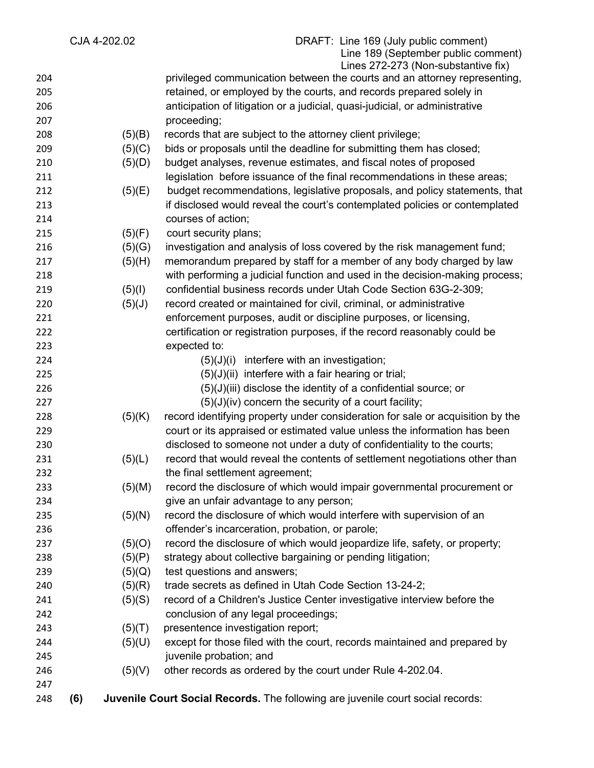|     |     | CJA 4-202.02 | DRAFT: Line 169 (July public comment)<br>Line 189 (September public comment)<br>Lines 272-273 (Non-substantive fix) |
|-----|-----|--------------|---------------------------------------------------------------------------------------------------------------------|
| 204 |     |              | privileged communication between the courts and an attorney representing,                                           |
| 205 |     |              | retained, or employed by the courts, and records prepared solely in                                                 |
| 206 |     |              | anticipation of litigation or a judicial, quasi-judicial, or administrative                                         |
| 207 |     |              | proceeding;                                                                                                         |
| 208 |     | (5)(B)       | records that are subject to the attorney client privilege;                                                          |
| 209 |     | (5)(C)       | bids or proposals until the deadline for submitting them has closed;                                                |
| 210 |     | (5)(D)       | budget analyses, revenue estimates, and fiscal notes of proposed                                                    |
| 211 |     |              | legislation before issuance of the final recommendations in these areas;                                            |
| 212 |     | (5)(E)       | budget recommendations, legislative proposals, and policy statements, that                                          |
| 213 |     |              | if disclosed would reveal the court's contemplated policies or contemplated                                         |
| 214 |     |              | courses of action;                                                                                                  |
| 215 |     | (5)(F)       | court security plans;                                                                                               |
| 216 |     | (5)(G)       | investigation and analysis of loss covered by the risk management fund;                                             |
| 217 |     | (5)(H)       | memorandum prepared by staff for a member of any body charged by law                                                |
| 218 |     |              | with performing a judicial function and used in the decision-making process;                                        |
| 219 |     | (5)(1)       | confidential business records under Utah Code Section 63G-2-309;                                                    |
| 220 |     | (5)(J)       | record created or maintained for civil, criminal, or administrative                                                 |
| 221 |     |              | enforcement purposes, audit or discipline purposes, or licensing,                                                   |
| 222 |     |              | certification or registration purposes, if the record reasonably could be                                           |
| 223 |     |              | expected to:                                                                                                        |
| 224 |     |              | $(5)(J)(i)$ interfere with an investigation;                                                                        |
| 225 |     |              | $(5)(J)(ii)$ interfere with a fair hearing or trial;                                                                |
| 226 |     |              | $(5)(J)(iii)$ disclose the identity of a confidential source; or                                                    |
| 227 |     |              | $(5)(J)(iv)$ concern the security of a court facility;                                                              |
| 228 |     | (5)(K)       | record identifying property under consideration for sale or acquisition by the                                      |
| 229 |     |              | court or its appraised or estimated value unless the information has been                                           |
| 230 |     |              | disclosed to someone not under a duty of confidentiality to the courts;                                             |
| 231 |     | (5)(L)       | record that would reveal the contents of settlement negotiations other than                                         |
| 232 |     |              | the final settlement agreement;                                                                                     |
| 233 |     | (5)(M)       | record the disclosure of which would impair governmental procurement or                                             |
| 234 |     |              | give an unfair advantage to any person;                                                                             |
| 235 |     | (5)(N)       | record the disclosure of which would interfere with supervision of an                                               |
| 236 |     |              | offender's incarceration, probation, or parole;                                                                     |
| 237 |     | (5)(O)       | record the disclosure of which would jeopardize life, safety, or property;                                          |
| 238 |     | (5)(P)       | strategy about collective bargaining or pending litigation;                                                         |
| 239 |     | (5)(Q)       | test questions and answers;                                                                                         |
| 240 |     | (5)(R)       | trade secrets as defined in Utah Code Section 13-24-2;                                                              |
| 241 |     | (5)(S)       | record of a Children's Justice Center investigative interview before the                                            |
| 242 |     |              | conclusion of any legal proceedings;                                                                                |
| 243 |     | (5)(T)       | presentence investigation report;                                                                                   |
| 244 |     | (5)(U)       | except for those filed with the court, records maintained and prepared by                                           |
| 245 |     |              | juvenile probation; and                                                                                             |
| 246 |     | (5)(V)       | other records as ordered by the court under Rule 4-202.04.                                                          |
| 247 |     |              |                                                                                                                     |
| 248 | (6) |              | Juvenile Court Social Records. The following are juvenile court social records:                                     |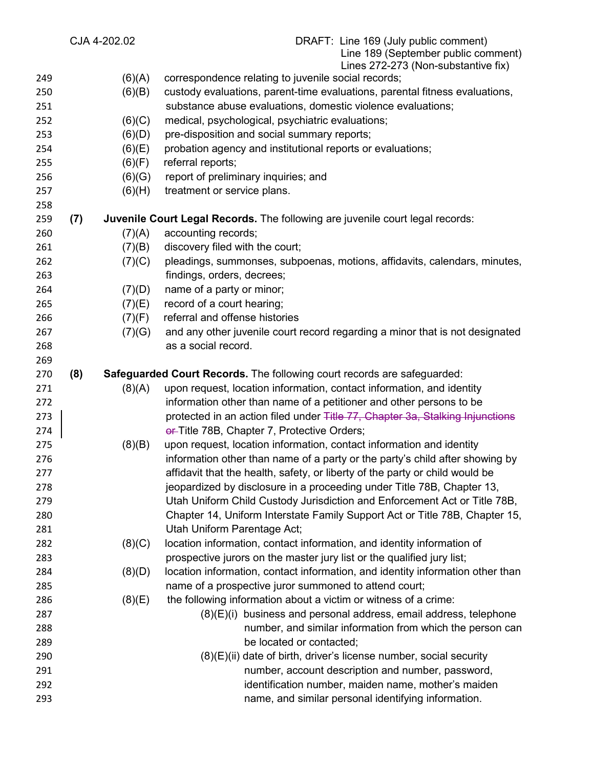|     |     | CJA 4-202.02 | DRAFT: Line 169 (July public comment)<br>Line 189 (September public comment)<br>Lines 272-273 (Non-substantive fix) |
|-----|-----|--------------|---------------------------------------------------------------------------------------------------------------------|
| 249 |     | (6)(A)       | correspondence relating to juvenile social records;                                                                 |
| 250 |     | (6)(B)       | custody evaluations, parent-time evaluations, parental fitness evaluations,                                         |
| 251 |     |              | substance abuse evaluations, domestic violence evaluations;                                                         |
| 252 |     | (6)(C)       | medical, psychological, psychiatric evaluations;                                                                    |
| 253 |     | (6)(D)       | pre-disposition and social summary reports;                                                                         |
| 254 |     | (6)(E)       | probation agency and institutional reports or evaluations;                                                          |
| 255 |     | (6)(F)       | referral reports;                                                                                                   |
| 256 |     | (6)(G)       | report of preliminary inquiries; and                                                                                |
| 257 |     | (6)(H)       | treatment or service plans.                                                                                         |
| 258 |     |              |                                                                                                                     |
| 259 | (7) |              | Juvenile Court Legal Records. The following are juvenile court legal records:                                       |
| 260 |     | (7)(A)       | accounting records;                                                                                                 |
| 261 |     | (7)(B)       | discovery filed with the court;                                                                                     |
| 262 |     | (7)(C)       | pleadings, summonses, subpoenas, motions, affidavits, calendars, minutes,                                           |
| 263 |     |              | findings, orders, decrees;                                                                                          |
| 264 |     | (7)(D)       | name of a party or minor;                                                                                           |
| 265 |     | (7)(E)       | record of a court hearing;                                                                                          |
| 266 |     | (7)(F)       | referral and offense histories                                                                                      |
| 267 |     | (7)(G)       | and any other juvenile court record regarding a minor that is not designated                                        |
| 268 |     |              | as a social record.                                                                                                 |
| 269 |     |              |                                                                                                                     |
| 270 | (8) |              | Safeguarded Court Records. The following court records are safeguarded:                                             |
| 271 |     | (8)(A)       | upon request, location information, contact information, and identity                                               |
| 272 |     |              | information other than name of a petitioner and other persons to be                                                 |
| 273 |     |              | protected in an action filed under Title 77, Chapter 3a, Stalking Injunctions                                       |
| 274 |     |              | er-Title 78B, Chapter 7, Protective Orders;                                                                         |
| 275 |     | (8)(B)       | upon request, location information, contact information and identity                                                |
| 276 |     |              | information other than name of a party or the party's child after showing by                                        |
| 277 |     |              | affidavit that the health, safety, or liberty of the party or child would be                                        |
| 278 |     |              | jeopardized by disclosure in a proceeding under Title 78B, Chapter 13,                                              |
| 279 |     |              | Utah Uniform Child Custody Jurisdiction and Enforcement Act or Title 78B,                                           |
| 280 |     |              | Chapter 14, Uniform Interstate Family Support Act or Title 78B, Chapter 15,                                         |
| 281 |     |              | Utah Uniform Parentage Act;                                                                                         |
| 282 |     | (8)(C)       | location information, contact information, and identity information of                                              |
| 283 |     |              | prospective jurors on the master jury list or the qualified jury list;                                              |
| 284 |     | (8)(D)       | location information, contact information, and identity information other than                                      |
| 285 |     |              | name of a prospective juror summoned to attend court;                                                               |
| 286 |     | (8)(E)       | the following information about a victim or witness of a crime:                                                     |
| 287 |     |              | $(8)(E)(i)$ business and personal address, email address, telephone                                                 |
| 288 |     |              | number, and similar information from which the person can                                                           |
| 289 |     |              | be located or contacted;                                                                                            |
| 290 |     |              | $(8)(E)(ii)$ date of birth, driver's license number, social security                                                |
| 291 |     |              | number, account description and number, password,                                                                   |
| 292 |     |              | identification number, maiden name, mother's maiden                                                                 |
| 293 |     |              | name, and similar personal identifying information.                                                                 |
|     |     |              |                                                                                                                     |